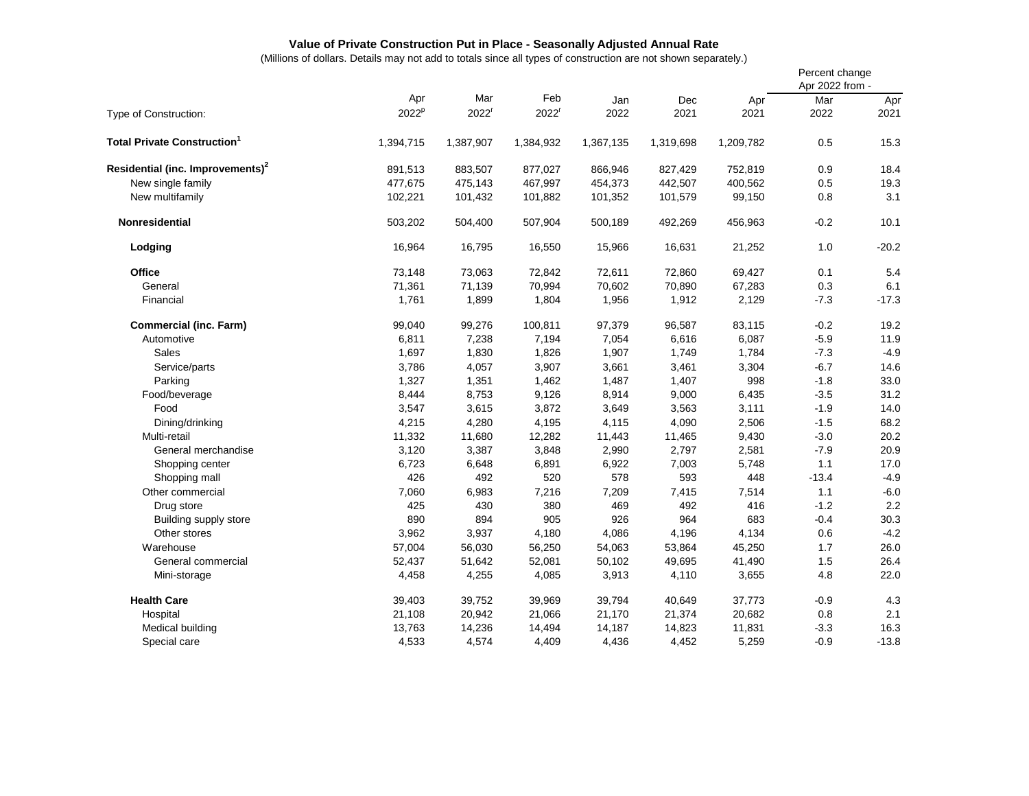## **Value of Private Construction Put in Place - Seasonally Adjusted Annual Rate**

(Millions of dollars. Details may not add to totals since all types of construction are not shown separately.)

|                                              |                   |                   |                   |           |           |           | Percent change<br>Apr 2022 from - |         |
|----------------------------------------------|-------------------|-------------------|-------------------|-----------|-----------|-----------|-----------------------------------|---------|
|                                              | Apr               | Mar               | Feb               | Jan       | Dec       | Apr       | Mar                               | Apr     |
| Type of Construction:                        | 2022 <sup>p</sup> | 2022 <sup>r</sup> | 2022 <sup>r</sup> | 2022      | 2021      | 2021      | 2022                              | 2021    |
| <b>Total Private Construction</b>            | 1,394,715         | 1,387,907         | 1,384,932         | 1,367,135 | 1,319,698 | 1,209,782 | 0.5                               | 15.3    |
| Residential (inc. Improvements) <sup>2</sup> | 891,513           | 883,507           | 877,027           | 866,946   | 827,429   | 752,819   | 0.9                               | 18.4    |
| New single family                            | 477,675           | 475,143           | 467,997           | 454,373   | 442,507   | 400,562   | 0.5                               | 19.3    |
| New multifamily                              | 102,221           | 101,432           | 101,882           | 101,352   | 101,579   | 99,150    | 0.8                               | 3.1     |
| <b>Nonresidential</b>                        | 503,202           | 504,400           | 507,904           | 500,189   | 492,269   | 456,963   | $-0.2$                            | 10.1    |
| Lodging                                      | 16,964            | 16,795            | 16,550            | 15,966    | 16,631    | 21,252    | 1.0                               | $-20.2$ |
| <b>Office</b>                                | 73,148            | 73,063            | 72,842            | 72,611    | 72,860    | 69,427    | 0.1                               | 5.4     |
| General                                      | 71,361            | 71,139            | 70,994            | 70,602    | 70,890    | 67,283    | 0.3                               | 6.1     |
| Financial                                    | 1,761             | 1,899             | 1,804             | 1,956     | 1,912     | 2,129     | $-7.3$                            | $-17.3$ |
| <b>Commercial (inc. Farm)</b>                | 99,040            | 99,276            | 100,811           | 97,379    | 96,587    | 83,115    | $-0.2$                            | 19.2    |
| Automotive                                   | 6,811             | 7,238             | 7,194             | 7,054     | 6,616     | 6,087     | $-5.9$                            | 11.9    |
| <b>Sales</b>                                 | 1,697             | 1,830             | 1,826             | 1,907     | 1,749     | 1,784     | $-7.3$                            | $-4.9$  |
| Service/parts                                | 3,786             | 4,057             | 3,907             | 3,661     | 3,461     | 3,304     | $-6.7$                            | 14.6    |
| Parking                                      | 1,327             | 1,351             | 1,462             | 1,487     | 1,407     | 998       | $-1.8$                            | 33.0    |
| Food/beverage                                | 8,444             | 8,753             | 9,126             | 8,914     | 9,000     | 6,435     | $-3.5$                            | 31.2    |
| Food                                         | 3,547             | 3,615             | 3,872             | 3,649     | 3,563     | 3,111     | $-1.9$                            | 14.0    |
| Dining/drinking                              | 4,215             | 4,280             | 4,195             | 4,115     | 4,090     | 2,506     | $-1.5$                            | 68.2    |
| Multi-retail                                 | 11,332            | 11,680            | 12,282            | 11,443    | 11,465    | 9,430     | $-3.0$                            | 20.2    |
| General merchandise                          | 3,120             | 3,387             | 3,848             | 2,990     | 2,797     | 2,581     | $-7.9$                            | 20.9    |
| Shopping center                              | 6,723             | 6,648             | 6,891             | 6,922     | 7,003     | 5,748     | 1.1                               | 17.0    |
| Shopping mall                                | 426               | 492               | 520               | 578       | 593       | 448       | $-13.4$                           | $-4.9$  |
| Other commercial                             | 7,060             | 6,983             | 7,216             | 7,209     | 7,415     | 7,514     | 1.1                               | $-6.0$  |
| Drug store                                   | 425               | 430               | 380               | 469       | 492       | 416       | $-1.2$                            | 2.2     |
| Building supply store                        | 890               | 894               | 905               | 926       | 964       | 683       | $-0.4$                            | 30.3    |
| Other stores                                 | 3,962             | 3,937             | 4,180             | 4,086     | 4,196     | 4,134     | 0.6                               | $-4.2$  |
| Warehouse                                    | 57,004            | 56,030            | 56,250            | 54,063    | 53,864    | 45,250    | 1.7                               | 26.0    |
| General commercial                           | 52,437            | 51,642            | 52,081            | 50,102    | 49,695    | 41,490    | 1.5                               | 26.4    |
| Mini-storage                                 | 4,458             | 4,255             | 4,085             | 3,913     | 4,110     | 3,655     | 4.8                               | 22.0    |
| <b>Health Care</b>                           | 39,403            | 39,752            | 39,969            | 39,794    | 40,649    | 37,773    | $-0.9$                            | 4.3     |
| Hospital                                     | 21,108            | 20,942            | 21,066            | 21,170    | 21,374    | 20,682    | 0.8                               | 2.1     |
| Medical building                             | 13,763            | 14,236            | 14,494            | 14,187    | 14,823    | 11,831    | $-3.3$                            | 16.3    |
| Special care                                 | 4,533             | 4.574             | 4,409             | 4,436     | 4.452     | 5,259     | $-0.9$                            | $-13.8$ |